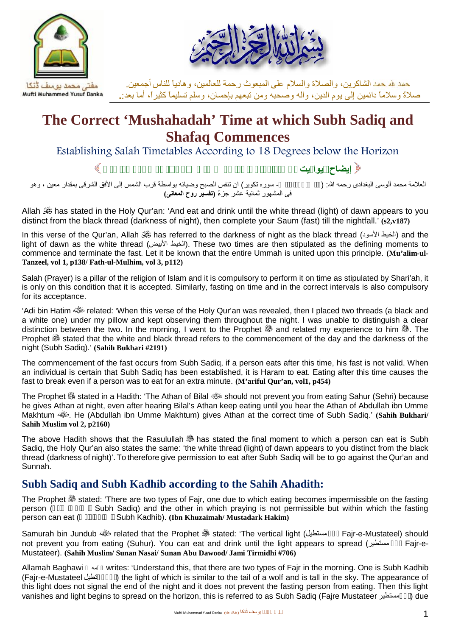



صلاةً وسلاماً دائمین إلى یوم الدین، وآلھ وصحبھ ومن تبعھم بإحسان، وسلم تسلیماً كثیرا،ً أما بعد**.**: الشاكرین، والصلاة والسلام على المبعوث رحمة للعالمین، وھادیاً للناس أجمعین.

# **The Correct 'Mushahadah' Time at which Subh Sadiq and Shafaq Commences**

**Establishing Salah Timetables According to 18 Degrees below the Horizon الطالعة** Establishing Salah Timetables According to 18 Degrees below the Horizon

العلامة محمد آلوسى البغدادى رحمھ الله: (والصبح إذا تنفس- سوره تكویر) ان تنفس الصبح وضیائھ بواسطة قرب الشمس إلى الأفق الشرقى بمقدار معین ، وھو فى المشھور ثمانیة عشر جزءً **(تفسیر روح المعانى)**

Allah  $\mathcal{H}$  has stated in the Holy Qur'an: 'And eat and drink until the white thread (light) of dawn appears to you distinct from the black thread (darkness of night), then complete your Saum (fast) till the nightfall.' **(s2,v187)**

In this verse of the Qur'an, Allah (الخیط الأسود) has referred to the darkness of night as the black thread (الخیط الأسود) light of dawn as the white thread (الأبیض الخیط(. These two times are then stipulated as the defining moments to commence and terminate the fast. Let it be known that the entire Ummah is united upon this principle. **(Mu'alim-ul- Tanzeel, vol 1, p138/ Fath-ul-Mulhim, vol 3, p112)**

Salah (Prayer) is a pillar of the religion of Islam and it is compulsory to perform it on time as stipulated by Shari'ah, it is only on this condition that it is accepted. Similarly, fasting on time and in the correct intervals is also compulsory for its acceptance.

'Adi bin Hatim  $\frac{dS}{dr}$  related: 'When this verse of the Holy Qur'an was revealed, then I placed two threads (a black and a white one) under my pillow and kept observing them throughout the night. I was unable to distinguish a clear distinction between the two. In the morning, I went to the Prophet  $\ddot{\mathcal{F}}$  and related my experience to him  $\ddot{\mathcal{F}}$ . The Prophet **is stated that the white and black thread refers to the commencement of the day and the darkness of the** night (Subh Sadiq).' **(Sahih Bukhari #2191)**

The commencement of the fast occurs from Subh Sadiq, if a person eats after this time, his fast is not valid. When an individual is certain that Subh Sadiq has been established, it is Haram to eat. Eating after this time causes the fast to break even if a person was to eat for an extra minute. **(M'ariful Qur'an, vol1, p454)**

The Prophet stated in a Hadith: 'The Athan of Bilal should not prevent you from eating Sahur (Sehri) because he gives Athan at night, even after hearing Bilal's Athan keep eating until you hear the Athan of Abdullah ibn Umme Makhtum **. We He (Abdullah ibn Umme Makhtum)** gives Athan at the correct time of Subh Sadiq.' **(Sahih Bukhari/ Sahih Muslim vol 2, p2160)**

The above Hadith shows that the Rasulullah has stated the final moment to which a person can eat is Subh Sadiq, the Holy Qur'an also states the same: 'the white thread (light) of dawn appears to you distinct from the black thread (darkness of night)'. To therefore give permission to eat after Subh Sadiq will be to go against the Qur'an and Sunnah.

## **Subh Sadiq and Subh Kadhib according to the Sahih Ahadith:**

The Prophet  $\mathcal{B}$  stated: 'There are two types of Fajr, one due to which eating becomes impermissible on the fasting person (Subh Sadiq) and the other in which praying is not permissible but within which the fasting person can eat (Subh Kadhib). (Ibn Khuzaimah/Mustadark Hakim) Subh Kadhib). **(Ibn Khuzaimah/ Mustadark Hakim)** 

Samurah bin Jundub related that the Prophet stated: 'The vertical light (مستطیل فجر Fajr-e-Mustateel) should not prevent you from eating (Suhur). You can eat and drink until the light appears to spread (مستطیر فجر Fajr-e- Mustateer). **(Sahih Muslim/ Sunan Nasai/ Sunan Abu Dawood/ Jami Tirmidhi #706)**

Allamah Baghawi رحمھ writes: 'Understand this, that there are two types of Fajr in the morning. One is Subh Kadhib ) the light of which is similar to the tail of a wolf and is tall in the sky. The appearance of this light does not signal the end of the night and it does not prevent the fasting person from eating. Then this light vanishes and light begins to spread on the horizon, this is referred to as Subh Sadiq (Faire Mustateer فستطير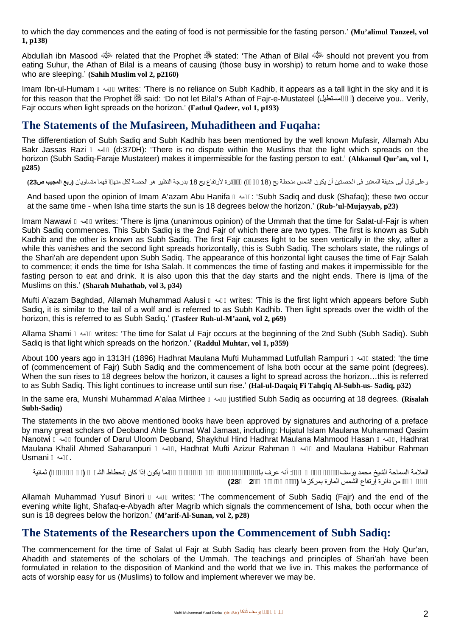to which the day commences and the eating of food is not permissible for the fasting person.' **(Mu'alimul Tanzeel, vol 1, p138)**

Abdullah ibn Masood related that the Prophet stated: 'The Athan of Bilal should not prevent you from eating Suhur, the Athan of Bilal is a means of causing (those busy in worship) to return home and to wake those who are sleeping.' **(Sahih Muslim vol 2, p2160)**

Imam Ibn-ul-Humam  $\rightarrow$  writes: 'There is no reliance on Subh Kadhib, it appears as a tall light in the sky and it is for this reason that the Prophet  $\frac{45}{200}$  said: 'Do not let Bilal's Athan of Fair-e-Mustateel (مستطیل ) deceive you.. Verily, Fajr occurs when light spreads on the horizon.' **(Fathul Qadeer, vol 1, p193)**

## **The Statements of the Mufasireen, Muhaditheen and Fuqaha:**

The differentiation of Subh Sadiq and Subh Kadhib has been mentioned by the well known Mufasir, Allamah Abu Bakr Jassas Razi رحمھ) d:370H): 'There is no dispute within the Muslims that the light which spreads on the horizon (Subh Sadiq-Faraje Mustateer) makes it impermissible for the fasting person to eat.' **(Ahkamul Qur'an, vol 1, p285)**

وعلى قول أبى حنيفة المعتبر فى الحصتين أن يكون الشمس منحطة يح (18  $\,$  أرتفاع يح 18 بدرجة النظير هو الحصة لكل منھ ا فهما متساويان (ر**بع المجيب ص23**)

And based upon the opinion of Imam A'azam Abu Hanifa رحمھ:' Subh Sadiq and dusk (Shafaq); these two occur at the same time - when Isha time starts the sun is 18 degrees below the horizon.' **(Rub-'ul-Mujayyab, p23)**

Imam Nawawi  $\rightarrow$  writes: 'There is Ijma (unanimous opinion) of the Ummah that the time for Salat-ul-Fajr is when Subh Sadiq commences. This Subh Sadiq is the 2nd Fajr of which there are two types. The first is known as Subh Kadhib and the other is known as Subh Sadiq. The first Fajr causes light to be seen vertically in the sky, after a while this vanishes and the second light spreads horizontally, this is Subh Sadiq. The scholars state, the rulings of the Shari'ah are dependent upon Subh Sadiq. The appearance of this horizontal light causes the time of Fajr Salah to commence; it ends the time for Isha Salah. It commences the time of fasting and makes it impermissible for the fasting person to eat and drink. It is also upon this that the day starts and the night ends. There is Ijma of the Muslims on this.' **(Sharah Muhathab, vol 3, p34)**

Mufti A'azam Baghdad, Allamah Muhammad Aalusi رحمھ writes: 'This is the first light which appears before Subh Sadiq, it is similar to the tail of a wolf and is referred to as Subh Kadhib. Then light spreads over the width of the horizon, this is referred to as Subh Sadiq.' **(Tasfeer Ruh-ul-M'aani, vol 2, p69)**

Allama Shami رحمھ writes: 'The time for Salat ul Fajr occurs at the beginning of the 2nd Subh (Subh Sadiq). Subh Sadiq is that light which spreads on the horizon.' **(Raddul Muhtar, vol 1, p359)**

About 100 years ago in 1313H (1896) Hadhrat Maulana Mufti Muhammad Lutfullah Rampuri رحمھ stated: 'the time of (commencement of Fajr) Subh Sadiq and the commencement of Isha both occur at the same point (degrees). When the sun rises to 18 degrees below the horizon, it causes a light to spread across the horizon…this is referred to as Subh Sadiq. This light continues to increase until sun rise.' **(Hal-ul-Daqaiq Fi Tahqiq Al-Subh-us- Sadiq, p32)**

In the same era, Munshi Muhammad A'alaa Mirthee رحمھ justified Subh Sadiq as occurring at 18 degrees. **(Risalah Subh-Sadiq)**

The statements in the two above mentioned books have been approved by signatures and authoring of a preface by many great scholars of Deoband Ahle Sunnat Wal Jamaat, including: Hujatul Islam Maulana Muhammad Qasim Nanotwi رحمھ founder of Darul Uloom Deoband, Shaykhul Hind Hadhrat Maulana Mahmood Hasan رحمھ, Hadhrat Maulana Khalil Ahmed Saharanpuri رحمھ, Hadhrat Mufti Azizur Rahman رحمھ and Maulana Habibur Rahman .رحمھ Usmani

العلامة السماحة الشیخ محمد یوسف البنورى قدس سره: أنه عرف با صبح الشفق إن أول الصبح وآخر الشمس (المصبح وآخر الش **(28 2جلد السنن معارف (**بمركزھا المارة الشمس إرتفاع دائرة من ًجزء عشر

Allamah Muhammad Yusuf Binori رحمھ writes: 'The commencement of Subh Sadiq (Fajr) and the end of the evening white light, Shafaq-e-Abyadh after Magrib which signals the commencement of Isha, both occur when the sun is 18 degrees below the horizon.' **(M'arif-Al-Sunan, vol 2, p28)**

#### **The Statements of the Researchers upon the Commencement of Subh Sadiq:**

The commencement for the time of Salat ul Fajr at Subh Sadiq has clearly been proven from the Holy Qur'an, Ahadith and statements of the scholars of the Ummah. The teachings and principles of Shari'ah have been formulated in relation to the disposition of Mankind and the world that we live in. This makes the performance of acts of worship easy for us (Muslims) to follow and implement wherever we may be.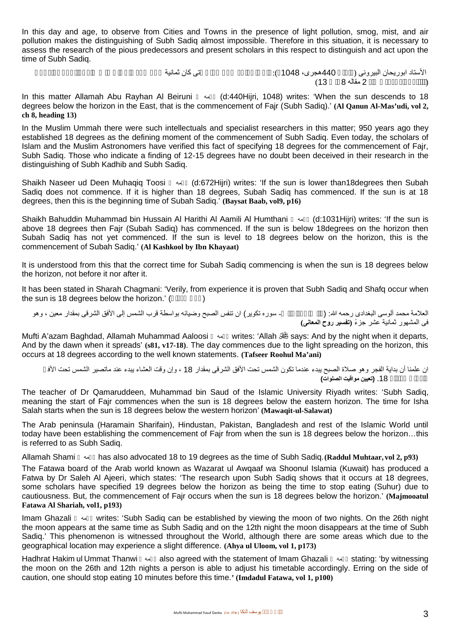In this day and age, to observe from Cities and Towns in the presence of light pollution, smog, mist, and air pollution makes the distinguishing of Subh Sadiq almost impossible. Therefore in this situation, it is necessary to assess the research of the pious predecessors and present scholars in this respect to distinguish and act upon the time of Subh Sadiq.

الأستاد ابوریحان البیرونى (  $\sim 440$ هجرى، 1048 ):  $\,$ (القانون المسعودى جلد 2 مقالھ 8 باب 13)

In this matter Allamah Abu Rayhan Al Beiruni رحمھ) d:440Hijri, 1048) writes: 'When the sun descends to 18 degrees below the horizon in the East, that is the commencement of Fajr (Subh Sadiq).' **(Al Qanun Al-Mas'udi, vol 2, ch 8, heading 13)**

In the Muslim Ummah there were such intellectuals and specialist researchers in this matter; 950 years ago they established 18 degrees as the defining moment of the commencement of Subh Sadiq. Even today, the scholars of Islam and the Muslim Astronomers have verified this fact of specifying 18 degrees for the commencement of Fajr, Subh Sadiq. Those who indicate a finding of 12-15 degrees have no doubt been deceived in their research in the distinguishing of Subh Kadhib and Subh Sadiq.

Shaikh Naseer ud Deen Muhaqiq Toosi رحمھ) d:672Hijri) writes: 'If the sun is lower than18degrees then Subah Sadiq does not commence. If it is higher than 18 degrees, Subah Sadiq has commenced. If the sun is at 18 degrees, then this is the beginning time of Subah Sadiq.' **(Baysat Baab, vol9, p16)**

Shaikh Bahuddin Muhammad bin Hussain Al Harithi Al Aamili Al Humthani رحمھ) d:1031Hijri) writes: 'If the sun is above 18 degrees then Fajr (Subah Sadiq) has commenced. If the sun is below 18degrees on the horizon then Subah Sadiq has not yet commenced. If the sun is level to 18 degrees below on the horizon, this is the commencement of Subah Sadiq.' **(Al Kashkool by Ibn Khayaat)**

It is understood from this that the correct time for Subah Sadiq commencing is when the sun is 18 degrees below the horizon, not before it nor after it.

It has been stated in Sharah Chagmani: 'Verily, from experience it is proven that Subh Sadiq and Shafq occur when the sun is 18 degrees below the horizon.' (

العلامة محمد آلوسى البغدادى رحمھ الله: (والصبح إذا تنفس- سوره تكویر) ان تنفس الصبح وضیائھ بواسطة قرب الشمس إلى الأفق الشرقى بمقدار معین ، وھو فى المشھور ثمانیة عشر جزءً **(تفسیر روح المعانى)**

Mufti A'azam Baghdad, Allamah Muhammad Aaloosi رحمھ writes: 'Allah says: And by the night when it departs, And by the dawn when it spreads' **(s81, v17-18)**. The day commences due to the light spreading on the horizon, this occurs at 18 degrees according to the well known statements. **(Tafseer Roohul Ma'ani)**

ان علمنا أن بداية الفجر وهو صلاة الصبح يبدء عندما تكون الشمس تحت الأفق الشرقى بمقدار 18 ، وإن وقت العشاء يبدء عند ماتصير الشمس تحت الأف **(الصلوات مواقیت تعیین (**.18 بمقدار الغربى

The teacher of Dr Qamaruddeen, Muhammad bin Saud of the Islamic University Riyadh writes: 'Subh Sadiq, meaning the start of Fajr commences when the sun is 18 degrees below the eastern horizon. The time for Isha Salah starts when the sun is 18 degrees below the western horizon' **(Mawaqit-ul-Salawat)**

The Arab peninsula (Haramain Sharifain), Hindustan, Pakistan, Bangladesh and rest of the Islamic World until today have been establishing the commencement of Fajr from when the sun is 18 degrees below the horizon…this is referred to as Subh Sadiq.

Allamah Shami رحمھ has also advocated 18 to 19 degrees as the time of Subh Sadiq.**(Raddul Muhtaar, vol 2, p93)**

The Fatawa board of the Arab world known as Wazarat ul Awqaaf wa Shoonul Islamia (Kuwait) has produced a Fatwa by Dr Saleh Al Ajeeri, which states: 'The research upon Subh Sadiq shows that it occurs at 18 degrees, some scholars have specified 19 degrees below the horizon as being the time to stop eating (Suhur) due to cautiousness. But, the commencement of Fajr occurs when the sun is 18 degrees below the horizon.' **(Majmooatul Fatawa Al Shariah, vol1, p193)**

Imam Ghazali  $\rightsquigarrow$  writes: 'Subh Sadiq can be established by viewing the moon of two nights. On the 26th night the moon appears at the same time as Subh Sadiq and on the 12th night the moon disappears at the time of Subh Sadiq.' This phenomenon is witnessed throughout the World, although there are some areas which due to the geographical location may experience a slight difference. **(Ahya ul Uloom, vol 1, p173)**

Hadhrat Hakim ul Ummat Thanwi رحمھ also agreed with the statement of Imam Ghazali رحمھ stating: 'by witnessing the moon on the 26th and 12th nights a person is able to adjust his timetable accordingly. Erring on the side of caution, one should stop eating 10 minutes before this time.**' (Imdadul Fatawa, vol 1, p100)**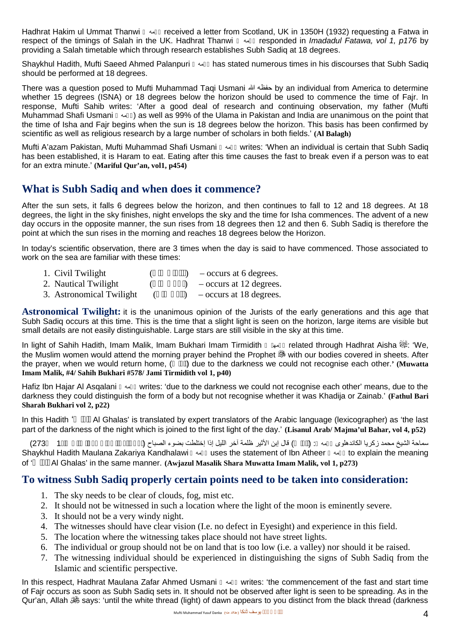Hadhrat Hakim ul Ummat Thanwi رحمھ received a letter from Scotland, UK in 1350H (1932) requesting a Fatwa in respect of the timings of Salah in the UK. Hadhrat Thanwi رحمھ responded in *Imadadul Fatawa, vol 1, p176* by providing a Salah timetable which through research establishes Subh Sadiq at 18 degrees.

Shaykhul Hadith, Mufti Saeed Ahmed Palanpuri رحمھ has stated numerous times in his discourses that Subh Sadiq should be performed at 18 degrees.

There was a question posed to Mufti Muhammad Taqi Usmani الله حفظھ by an individual from America to determine whether 15 degrees (ISNA) or 18 degrees below the horizon should be used to commence the time of Fair. In response, Mufti Sahib writes: 'After a good deal of research and continuing observation, my father (Mufti Muhammad Shafi Usmani ( $\sim$ ) as well as 99% of the Ulama in Pakistan and India are unanimous on the point that the time of Isha and Fajr begins when the sun is 18 degrees below the horizon. This basis has been confirmed by scientific as well as religious research by a large number of scholars in both fields.' **(Al Balagh)**

Mufti A'azam Pakistan, Mufti Muhammad Shafi Usmani رحمھ writes: 'When an individual is certain that Subh Sadiq has been established, it is Haram to eat. Eating after this time causes the fast to break even if a person was to eat for an extra minute.' **(Mariful Qur'an, vol1, p454)**

## **What is Subh Sadiq and when does it commence?**

After the sun sets, it falls 6 degrees below the horizon, and then continues to fall to 12 and 18 degrees. At 18 degrees, the light in the sky finishes, night envelops the sky and the time for Isha commences. The advent of a new day occurs in the opposite manner, the sun rises from 18 degrees then 12 and then 6. Subh Sadiq is therefore the point at which the sun rises in the morning and reaches 18 degrees below the Horizon.

In today's scientific observation, there are 3 times when the day is said to have commenced. Those associated to work on the sea are familiar with these times:

- 1. Civil Twilight  $($   $)$  occurs at 6 degrees.
- 2. Nautical Twilight  $($   $)$   $-$  occurs at 12 degrees.
- 3. Astronomical Twilight  $($   $)$  occurs at 18 degrees.

**Astronomical Twilight:** it is the unanimous opinion of the Jurists of the early generations and this age that Subh Sadiq occurs at this time. This is the time that a slight light is seen on the horizon, large items are visible but small details are not easily distinguishable. Large stars are still visible in the sky at this time.

In light of Sahih Hadith, Imam Malik, Imam Bukhari Imam Tirmidith  $\rightarrow$  related through Hadhrat Aisha  $\gg$ : 'We, the Muslim women would attend the morning prayer behind the Prophet & with our bodies covered in sheets. After the prayer, when we would return home, (e) due to the darkness we could not recognise each other.**'** (Muwatta **Imam Malik, #4/ Sahih Bukhari #578/ Jami Tirmidith vol 1, p40)**

Hafiz Ibn Hajar Al Asqalani رحمھ writes: 'due to the darkness we could not recognise each other' means, due to the darkness they could distinguish the form of a body but not recognise whether it was Khadija or Zainab.' **(Fathul Bari Sharah Bukhari vol 2, p22)**

In this Hadith 'Al Ghalas' is translated by expert translators of the Arabic language (lexicographer) as 'the last part of the darkness of the night which is joined to the first light of the day.' **(Lisanul Arab/ Majma'ul Bahar, vol 4, p52)**

سماحة الشیخ محمد زكریا الكاندھلوى رحمھ : (الغلس) قال إبن الأثیر ظلمة آخر اللیل إذا إختلطت بضوء الصباح (أوجزالمسالك إلى موطّا مالك جلد1 273) Shaykhul Hadith Maulana Zakariya Kandhalawi رحمھ uses the statement of Ibn Atheer رحمھ to explain the meaning of 'الغلس Al Ghalas' in the same manner. **(Awjazul Masalik Shara Muwatta Imam Malik, vol 1, p273)**

#### **To witness Subh Sadiq properly certain points need to be taken into consideration:**

- 1. The sky needs to be clear of clouds, fog, mist etc.
- 2. It should not be witnessed in such a location where the light of the moon is eminently severe.
- 3. It should not be a very windy night.
- 4. The witnesses should have clear vision (I.e. no defect in Eyesight) and experience in this field.
- 5. The location where the witnessing takes place should not have street lights.
- 6. The individual or group should not be on land that is too low (i.e. a valley) nor should it be raised.
- 7. The witnessing individual should be experienced in distinguishing the signs of Subh Sadiq from the Islamic and scientific perspective.

In this respect, Hadhrat Maulana Zafar Ahmed Usmani w writes: 'the commencement of the fast and start time of Fajr occurs as soon as Subh Sadiq sets in. It should not be observed after light is seen to be spreading. As in the Qur'an, Allah says: 'until the white thread (light) of dawn appears to you distinct from the black thread (darkness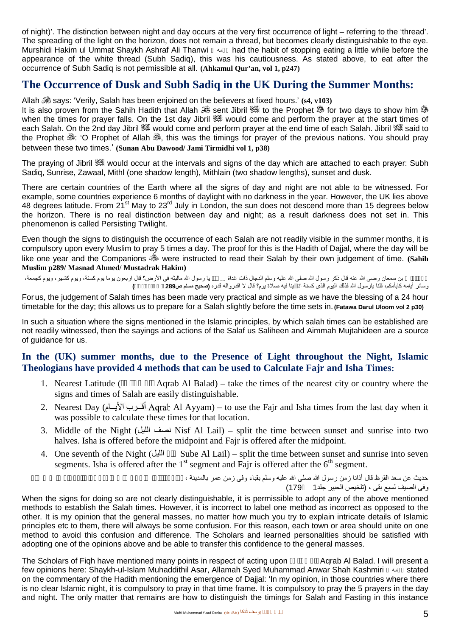of night)'. The distinction between night and day occurs at the very first occurrence of light – referring to the 'thread'. The spreading of the light on the horizon, does not remain a thread, but becomes clearly distinguishable to the eye. Murshidi Hakim ul Ummat Shaykh Ashraf Ali Thanwi  $\rightarrow \rightarrow \rightarrow \rightarrow$  had the habit of stopping eating a little while before the appearance of the white thread (Subh Sadiq), this was his cautiousness. As stated above, to eat after the occurrence of Subh Sadiq is not permissible at all. **(Ahkamul Qur'an, vol 1, p247)**

### **The Occurrence of Dusk and Subh Sadiq in the UK During the Summer Months:**

Allah says: 'Verily, Salah has been enjoined on the believers at fixed hours.' **(s4, v103)**

It is also proven from the Sahih Hadith that Allah  $\mathbb{S}_2$  sent Jibril  $\mathbb{S}_3^*$  to the Prophet  $\mathbb{S}_3$  for two days to show him  $\mathbb{S}_3$ when the times for prayer falls. On the 1st day Jibril & would come and perform the prayer at the start times of each Salah. On the 2nd day Jibril  $\mathbb{R}$  would come and perform prayer at the end time of each Salah. Jibril  $\mathbb{R}$  said to the Prophet  $\ddot{\circ}$ : 'O Prophet of Allah  $\ddot{\circ}$ , this was the timings for prayer of the previous nations. You should pray between these two times.' **(Sunan Abu Dawood/ Jami Tirmidhi vol 1, p38)**

The praving of Jibril & would occur at the intervals and signs of the day which are attached to each prayer: Subh Sadiq, Sunrise, Zawaal, Mithl (one shadow length), Mithlain (two shadow lengths), sunset and dusk.

There are certain countries of the Earth where all the signs of day and night are not able to be witnessed. For example, some countries experience 6 months of daylight with no darkness in the year. However, the UK lies above 48 degrees latitude. From 21<sup>st</sup> May to 23<sup>rd</sup> July in London, the sun does not descend more than 15 degrees below the horizon. There is no real distinction between day and night; as a result darkness does not set in. This phenomenon is called Persisting Twilight.

Even though the signs to distinguish the occurrence of each Salah are not readily visible in the summer months, it is compulsory upon every Muslim to pray 5 times a day. The proof for this is the Hadith of Dajjal, where the day will be like one vear and the Companions were instructed to read their Salah by their own judgement of time. **(Sahih Muslim p289/ Masnad Ahmed/ Mustadrak Hakim)**

بن سمعان رضى الله عنه قال ذكر رسول الله صلى الله عليه وسلم الدجال ذات غداة ... يا رسول الله مالبثه فى الأرض؟ قال اربعون يوما يوم كشهر ويوم كشهر ، ويوم كجمعة،<br>كايأمكم، قلنا بار سول الله فذلك البوم الذي كسنة ان بنا في وسائر أیامھ كایأمكم، قلنا یارسول الله فذلك الیوم الذى كسنة اتكفینا فیھ صلاة یوم؟ قال لا اقدروالھ قدره **(صحیح مسلم ص289 باب ذكر الدجال)**

For us, the judgement of Salah times has been made very practical and simple as we have the blessing of a 24 hour timetable for the day; this allows us to prepare for a Salah slightly before the time sets in. **(Fatawa Darul Uloom vol 2 p30)**

In such a situation where the signs mentioned in the Islamic principles, by which salah times can be established are not readily witnessed, then the sayings and actions of the Salaf us Saliheen and Aimmah Mujtahideen are a source of guidance for us.

#### **In the (UK) summer months, due to the Presence of Light throughout the Night, Islamic Theologians have provided 4 methods that can be used to Calculate Fajr and Isha Times:**

- 1. Nearest Latitude (Aqrab Al Balad) take the times of the nearest city or country where the signs and times of Salah are easily distinguishable.
- 2. Nearest Day (أقرب الأيسام) Aqrab Al Ayyam) to use the Fajr and Isha times from the last day when it was possible to calculate these times for that location.
- 3. Middle of the Night (المصف الليل ) wisf Al Lail) split the time between sunset and sunrise into two halves. Isha is offered before the midpoint and Fajr is offered after the midpoint.
- 4. One seventh of the Night (الليل Sube Al Lail) split the time between sunset and sunrise into seven segments. Isha is offered after the  $1<sup>st</sup>$  segment and Fajr is offered after the  $6<sup>th</sup>$  segment.

حدیث عن سعد القرظ قال أذانا زمن رسول الله صلى الله علیه وسلم بقباء وفى زمن عمر بالمدینة ، وفى الصیف لسبع بقى ، (تلخیص الحبیر جلد1 179)

When the signs for doing so are not clearly distinguishable, it is permissible to adopt any of the above mentioned methods to establish the Salah times. However, it is incorrect to label one method as incorrect as opposed to the other. It is my opinion that the general masses, no matter how much you try to explain intricate details of Islamic principles etc to them, there will always be some confusion. For this reason, each town or area should unite on one method to avoid this confusion and difference. The Scholars and learned personalities should be satisfied with adopting one of the opinions above and be able to transfer this confidence to the general masses.

The Scholars of Figh have mentioned many points in respect of acting upon Aqrab Al Balad. I will present a few opinions here: Shaykh-ul-Islam Muhaddithil Asar, Allamah Syed Muhammad Anwar Shah Kashmiri رحمھ stated on the commentary of the Hadith mentioning the emergence of Dajjal: 'In my opinion, in those countries where there is no clear Islamic night, it is compulsory to pray in that time frame. It is compulsory to pray the 5 prayers in the day and night. The only matter that remains are how to distinguish the timings for Salah and Fasting in this instance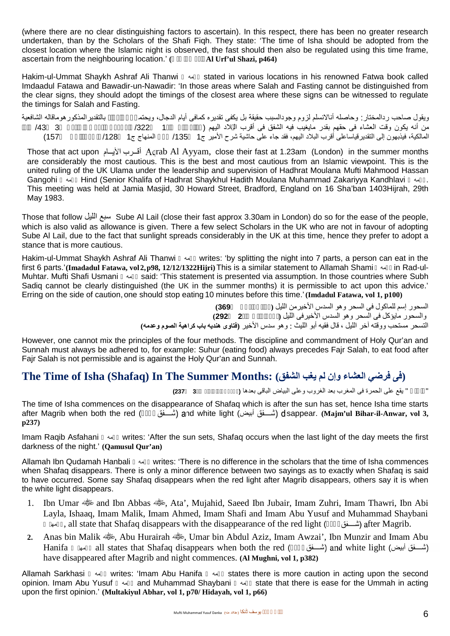(where there are no clear distinguishing factors to ascertain). In this respect, there has been no greater research undertaken, than by the Scholars of the Shafi Fiqh. They state: 'The time of Isha should be adopted from the closest location where the Islamic night is observed, the fast should then also be regulated using this time frame, ascertain from the neighbouring location.' (**Al Urf'ul Shazi, p464**)

Hakim-ul-Ummat Shaykh Ashraf Ali Thanwi **(19)** stated in various locations in his renowned Fatwa book called Imdaadul Fatawa and Bawadir-un-Nawadir: 'In those areas where Salah and Fasting cannot be distinguished from the clear signs, they should adopt the timings of the closest area where these signs can be witnessed to regulate the timings for Salah and Fasting.

| بالتقدير المذكور هوماقاله الشافعية |                    |          | ويقول صاحب ردالمختار : وحاصله أنالانسلم لزوم وجودالسبب حقيقة بل يكفى تقديره كمافى أيام الدجال، ويحتم |
|------------------------------------|--------------------|----------|------------------------------------------------------------------------------------------------------|
| 433                                |                    | $/322$ 1 | من أنه يكون وقت العشاء في حقهم بقدر مايغيب فيه الشفق في أقرب الـ لاد اليهم (                         |
| (157                               | المنهاج ج1    128/ |          | المالكية، فيذبهون إلى التقدير قياساعلى أقرب البلاد اليهم، فقد جاء على حاشية شرح الأمير ج1     135/   |

Those that act upon الخرب الأيسام Agrab Al Ayyam, close their fast at 1.23am (London) in the summer months are considerably the most cautious. This is the best and most cautious from an Islamic viewpoint. This is the united ruling of the UK Ulama under the leadership and supervision of Hadhrat Moulana Mufti Mahmood Hassan Gangohi رحمھ Hind (Senior Khalifa of Hadhrat Shaykhul Hadith Moulana Muhammad Zakariyya Kandhlavi رحمھ. This meeting was held at Jamia Masjid, 30 Howard Street, Bradford, England on 16 Sha'ban 1403Hijrah, 29th May 1983.

Those that follow اللیل سبع Sube Al Lail (close their fast approx 3.30am in London) do so for the ease of the people, which is also valid as allowance is given. There a few select Scholars in the UK who are not in favour of adopting Sube Al Lail, due to the fact that sunlight spreads considerably in the UK at this time, hence they prefer to adopt a stance that is more cautious.

Hakim-ul-Ummat Shaykh Ashraf Ali Thanwi (writes: 'by splitting the night into 7 parts, a person can eat in the first 6 parts.'**(Imadadul Fatawa, vol2,p98, 12/12/1322Hijri)**This is a similar statement to Allamah Shami رحمھ in Rad-ul- Muhtar. Mufti Shafi Usmani رحمھ said: 'This statement is presented via assumption. In those countries where Subh Sadig cannot be clearly distinguished (the UK in the summer months) it is permissible to act upon this advice.' Erring on the side of caution, one should stop eating 10 minutes before this time.'**(Imdadul Fatawa, vol 1, p100)**

> السحور إسم للماكول فى السحر وھو السدس الأخیرمن اللیل **(مراقى الفلاح ص369)** والسحور مایؤكل فى السحر وھو السدس الأخیرفى اللیل **(بحر الرائق جلد2 292)** التسحر مستحب ووقتھ آخر اللیل ، قال فقیھ أبو اللیث : وھو سدس الأخیر **(فتاوى ھندیھ باب كراھیة الصوم وعدمھ)**

However, one cannot mix the principles of the four methods. The discipline and commandment of Holy Qur'an and Sunnah must always be adhered to, for example: Suhur (eating food) always precedes Fajr Salah, to eat food after Fajr Salah is not permissible and is against the Holy Qur'an and Sunnah.

## **The Time of Isha (Shafaq) In The Summer Months: (الشفق یغب لم وإن العشاء فرضي فى(**

" الشفق " یقع على الحمرة فى المغرب بعد الغروب وعلى البیاض الباقى بعدھا **(مجمع بحارالأنوار جلد3 237)**

The time of Isha commences on the disappearance of Shafaq which is after the sun has set, hence Isha time starts after Magrib when both the red (أحمر ( and white light (أبیض ( disappear. **(Majm'ul Bihar-il-Anwar, vol 3, p237)**

Imam Raqib Asfahani  $\rightsquigarrow$  writes: 'After the sun sets, Shafaq occurs when the last light of the day meets the first darkness of the night.' **(Qamusul Qur'an)**

Allamah Ibn Qudamah Hanbali رحمھ writes: 'There is no difference in the scholars that the time of Isha commences when Shafaq disappears. There is only a minor difference between two sayings as to exactly when Shafaq is said to have occurred. Some say Shafaq disappears when the red light after Magrib disappears, others say it is when the white light disappears.

- 1. Ibn Umar  $\frac{1}{2}$  and Ibn Abbas  $\frac{1}{2}$ , Ata', Mujahid, Saeed Ibn Jubair, Imam Zuhri, Imam Thawri, Ibn Abi Layla, Ishaaq, Imam Malik, Imam Ahmed, Imam Shafi and Imam Abu Yusuf and Muhammad Shaybani برامه, all state that Shafaq disappears with the disappearance of the red light ( $\rightarrow$  (أحمد ) after Magrib.
- 2. Anas bin Malik , Abu Hurairah , Alu Aziz, Imam Awzai', Ibn Munzir and Imam Abu Hanifa + all states that Shafaq disappears when both the red ( $\qquad$ أسلافت أبيض) and white light (أسلافت ) have disappeared after Magrib and night commences. **(Al Mughni, vol 1, p382)**

Allamah Sarkhasi رحمھ writes: 'Imam Abu Hanifa رحمھ states there is more caution in acting upon the second opinion. Imam Abu Yusuf رحمھ and Muhammad Shaybani رحمھ state that there is ease for the Ummah in acting upon the first opinion.' **(Multakiyul Abhar, vol 1, p70/ Hidayah, vol 1, p66)**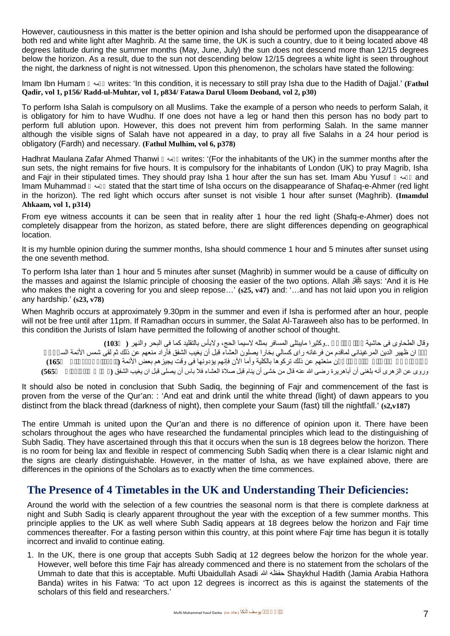However, cautiousness in this matter is the better opinion and Isha should be performed upon the disappearance of both red and white light after Maghrib. At the same time, the UK is such a country, due to it being located above 48 degrees latitude during the summer months (May, June, July) the sun does not descend more than 12/15 degrees below the horizon. As a result, due to the sun not descending below 12/15 degrees a white light is seen throughout the night, the darkness of night is not witnessed. Upon this phenomenon, the scholars have stated the following:

Imam Ibn Humam رحمھ writes: 'In this condition, it is necessary to still pray Isha due to the Hadith of Dajjal.' **(Fathul Qadir, vol 1, p156/ Radd-ul-Muhtar, vol 1, p834/ Fatawa Darul Uloom Deoband, vol 2, p30)**

To perform Isha Salah is compulsory on all Muslims. Take the example of a person who needs to perform Salah, it is obligatory for him to have Wudhu. If one does not have a leg or hand then this person has no body part to perform full ablution upon. However, this does not prevent him from performing Salah. In the same manner although the visible signs of Salah have not appeared in a day, to pray all five Salahs in a 24 hour period is obligatory (Fardh) and necessary. **(Fathul Mulhim, vol 6, p378)**

Hadhrat Maulana Zafar Ahmed Thanwi  $\rightarrow$  writes: '(For the inhabitants of the UK) in the summer months after the sun sets, the night remains for five hours. It is compulsory for the inhabitants of London (UK) to pray Magrib, Isha and Fajr in their stipulated times. They should pray Isha 1 hour after the sun has set. Imam Abu Yusuf  $\sim$  and Imam Muhammad  $\rightarrow$  stated that the start time of Isha occurs on the disappearance of Shafaq-e-Ahmer (red light in the horizon). The red light which occurs after sunset is not visible 1 hour after sunset (Maghrib). **(Imamdul Ahkaam, vol 1, p314)**

From eye witness accounts it can be seen that in reality after 1 hour the red light (Shafq-e-Ahmer) does not completely disappear from the horizon, as stated before, there are slight differences depending on geographical location.

It is my humble opinion during the summer months, Isha should commence 1 hour and 5 minutes after sunset using the one seventh method.

To perform Isha later than 1 hour and 5 minutes after sunset (Maghrib) in summer would be a cause of difficulty on the masses and against the Islamic principle of choosing the easier of the two options. Allah says: 'And it is He who makes the night a covering for you and sleep repose…' **(s25, v47)** and: '…and has not laid upon you in religion any hardship.' **(s23, v78)**

When Maghrib occurs at approximately 9.30pm in the summer and even if Isha is performed after an hour, people will not be free until after 11pm. If Ramadhan occurs in summer, the Salat Al-Taraweeh also has to be performed. In this condition the Jurists of Islam have permitted the following of another school of thought.

وقال الطحاوى فى حاشیة مراقى الفلاح ..وكثیرا مایبتلى المسافر بمثلھ لاسیما الحج، ولابأس بالتقلید كما فى البحر والنھر **( 103)** حكم ان ظھیر الدین المرغینانى لماقدم من فرغانھ راى كسالي بخارا یصلون العشاء قبل أن یغیب الشفق فأراد منعھم عن ذلك ثم لقى شمس الأئمة السرخسى وشاوره فى قصده فقال لاتفعل فإنك إن منعتھم عن ذلك تركوھا بالكلیة وأما الآن فإنھم یؤدونھا فى وقت یجیزھم بعض الأئمة **(ناظرةالحق لمرجانى ص165)** وروى عن الزھرى أنھ بلغنى أن أباھریرة رضى الله عنھ قال من خشى أن ینام قبل صلاة العشاء فلا باس أن یصلى قبل ان یغیب الشفق **(مصنف عبد الرزاق ص565)**

It should also be noted in conclusion that Subh Sadiq, the beginning of Fajr and commencement of the fast is proven from the verse of the Qur'an: : 'And eat and drink until the white thread (light) of dawn appears to you distinct from the black thread (darkness of night), then complete your Saum (fast) till the nightfall.' **(s2,v187)**

The entire Ummah is united upon the Qur'an and there is no difference of opinion upon it. There have been scholars throughout the ages who have researched the fundamental principles which lead to the distinguishing of Subh Sadiq. They have ascertained through this that it occurs when the sun is 18 degrees below the horizon. There is no room for being lax and flexible in respect of commencing Subh Sadiq when there is a clear Islamic night and the signs are clearly distinguishable. However, in the matter of Isha, as we have explained above, there are differences in the opinions of the Scholars as to exactly when the time commences.

#### **The Presence of 4 Timetables in the UK and Understanding Their Deficiencies:**

Around the world with the selection of a few countries the seasonal norm is that there is complete darkness at night and Subh Sadiq is clearly apparent throughout the year with the exception of a few summer months. This principle applies to the UK as well where Subh Sadiq appears at 18 degrees below the horizon and Fajr time commences thereafter. For a fasting person within this country, at this point where Fajr time has begun it is totally incorrect and invalid to continue eating.

1. In the UK, there is one group that accepts Subh Sadiq at 12 degrees below the horizon for the whole year. However, well before this time Fajr has already commenced and there is no statement from the scholars of the Ummah to date that this is acceptable. Mufti Ubaidullah Asadi الله حفظھ Shaykhul Hadith (Jamia Arabia Hathora Banda) writes in his Fatwa: 'To act upon 12 degrees is incorrect as this is against the statements of the scholars of this field and researchers.'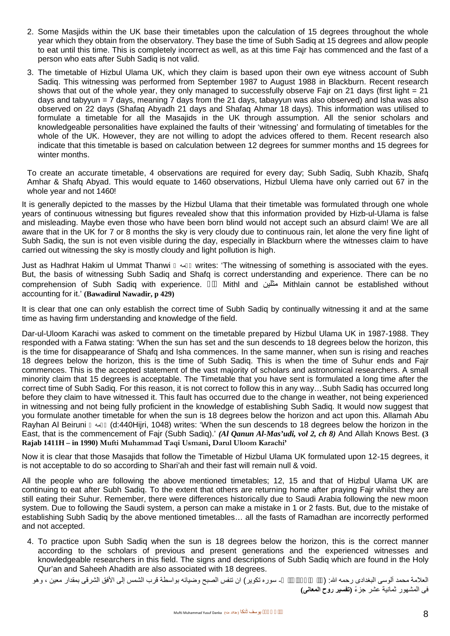- 2. Some Masjids within the UK base their timetables upon the calculation of 15 degrees throughout the whole year which they obtain from the observatory. They base the time of Subh Sadiq at 15 degrees and allow people to eat until this time. This is completely incorrect as well, as at this time Fajr has commenced and the fast of a person who eats after Subh Sadiq is not valid.
- 3. The timetable of Hizbul Ulama UK, which they claim is based upon their own eye witness account of Subh Sadiq. This witnessing was performed from September 1987 to August 1988 in Blackburn. Recent research shows that out of the whole year, they only managed to successfully observe Fajr on 21 days (first light = 21 days and tabyyun = 7 days, meaning 7 days from the 21 days, tabayyun was also observed) and Isha was also observed on 22 days (Shafaq Abyadh 21 days and Shafaq Ahmar 18 days). This information was utilised to formulate a timetable for all the Masajids in the UK through assumption. All the senior scholars and knowledgeable personalities have explained the faults of their 'witnessing' and formulating of timetables for the whole of the UK. However, they are not willing to adopt the advices offered to them. Recent research also indicate that this timetable is based on calculation between 12 degrees for summer months and 15 degrees for winter months.

To create an accurate timetable, 4 observations are required for every day; Subh Sadiq, Subh Khazib, Shafq Amhar & Shafq Abyad. This would equate to 1460 observations, Hizbul Ulema have only carried out 67 in the whole year and not 1460!

It is generally depicted to the masses by the Hizbul Ulama that their timetable was formulated through one whole years of continuous witnessing but figures revealed show that this information provided by Hizb-ul-Ulama is false and misleading. Maybe even those who have been born blind would not accept such an absurd claim! We are all aware that in the UK for 7 or 8 months the sky is very cloudy due to continuous rain, let alone the very fine light of Subh Sadiq, the sun is not even visible during the day, especially in Blackburn where the witnesses claim to have carried out witnessing the sky is mostly cloudy and light pollution is high.

Just as Hadhrat Hakim ul Ummat Thanwi رحمھ writes: 'The witnessing of something is associated with the eyes. But, the basis of witnessing Subh Sadiq and Shafq is correct understanding and experience. There can be no comprehension of Subh Sadiq with experience. مثل Mithl and مثلین Mithlain cannot be established without accounting for it.' **(Bawadirul Nawadir, p 429)**

It is clear that one can only establish the correct time of Subh Sadiq by continually witnessing it and at the same time as having firm understanding and knowledge of the field.

Dar-ul-Uloom Karachi was asked to comment on the timetable prepared by Hizbul Ulama UK in 1987-1988. They responded with a Fatwa stating: 'When the sun has set and the sun descends to 18 degrees below the horizon, this is the time for disappearance of Shafq and Isha commences. In the same manner, when sun is rising and reaches 18 degrees below the horizon, this is the time of Subh Sadiq. This is when the time of Suhur ends and Fajr commences. This is the accepted statement of the vast majority of scholars and astronomical researchers. A small minority claim that 15 degrees is acceptable. The Timetable that you have sent is formulated a long time after the correct time of Subh Sadiq. For this reason, it is not correct to follow this in any way…Subh Sadiq has occurred long before they claim to have witnessed it. This fault has occurred due to the change in weather, not being experienced in witnessing and not being fully proficient in the knowledge of establishing Subh Sadiq. It would now suggest that you formulate another timetable for when the sun is 18 degrees below the horizon and act upon this. Allamah Abu Rayhan Al Beiruni رحمھ) d:440Hijri, 1048) writes: 'When the sun descends to 18 degrees below the horizon in the East, that is the commencement of Fajr (Subh Sadiq).' *(Al Qanun Al-Mas'udi, vol 2, ch 8)* And Allah Knows Best. **(3 Rajab 1411H – in 1990) Mufti Muhammad Taqi Usmani, Darul Uloom Karachi'**

Now it is clear that those Masajids that follow the Timetable of Hizbul Ulama UK formulated upon 12-15 degrees, it is not acceptable to do so according to Shari'ah and their fast will remain null & void.

All the people who are following the above mentioned timetables; 12, 15 and that of Hizbul Ulama UK are continuing to eat after Subh Sadiq. To the extent that others are returning home after praying Fajr whilst they are still eating their Suhur. Remember, there were differences historically due to Saudi Arabia following the new moon system. Due to following the Saudi system, a person can make a mistake in 1 or 2 fasts. But, due to the mistake of establishing Subh Sadiq by the above mentioned timetables… all the fasts of Ramadhan are incorrectly performed and not accepted.

4. To practice upon Subh Sadiq when the sun is 18 degrees below the horizon, this is the correct manner according to the scholars of previous and present generations and the experienced witnesses and knowledgeable researchers in this field. The signs and descriptions of Subh Sadiq which are found in the Holy Qur'an and Saheeh Ahadith are also associated with 18 degrees.

- سوره تكوير) ان تنفس الصبح وضيائه بواسطة قرب الشمس إلى الأفق الشرقى بمقدار معين ، وهو

فى المشھور ثمانیة عشر جزءً **(تفسیر روح المعانى)**